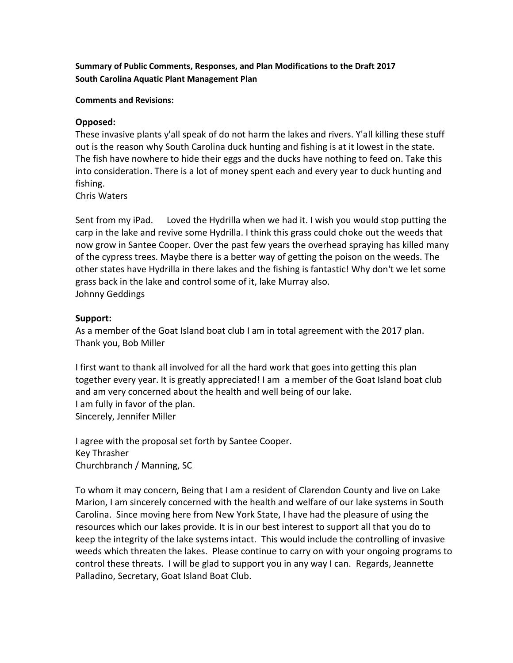**Summary of Public Comments, Responses, and Plan Modifications to the Draft 2017 South Carolina Aquatic Plant Management Plan**

**Comments and Revisions:**

# **Opposed:**

These invasive plants y'all speak of do not harm the lakes and rivers. Y'all killing these stuff out is the reason why South Carolina duck hunting and fishing is at it lowest in the state. The fish have nowhere to hide their eggs and the ducks have nothing to feed on. Take this into consideration. There is a lot of money spent each and every year to duck hunting and fishing.

Chris Waters

Sent from my iPad. Loved the Hydrilla when we had it. I wish you would stop putting the carp in the lake and revive some Hydrilla. I think this grass could choke out the weeds that now grow in Santee Cooper. Over the past few years the overhead spraying has killed many of the cypress trees. Maybe there is a better way of getting the poison on the weeds. The other states have Hydrilla in there lakes and the fishing is fantastic! Why don't we let some grass back in the lake and control some of it, lake Murray also. Johnny Geddings

### **Support:**

As a member of the Goat Island boat club I am in total agreement with the 2017 plan. Thank you, Bob Miller

I first want to thank all involved for all the hard work that goes into getting this plan together every year. It is greatly appreciated! I am a member of the Goat Island boat club and am very concerned about the health and well being of our lake. I am fully in favor of the plan. Sincerely, Jennifer Miller

I agree with the proposal set forth by Santee Cooper. Key Thrasher Churchbranch / Manning, SC

To whom it may concern, Being that I am a resident of Clarendon County and live on Lake Marion, I am sincerely concerned with the health and welfare of our lake systems in South Carolina. Since moving here from New York State, I have had the pleasure of using the resources which our lakes provide. It is in our best interest to support all that you do to keep the integrity of the lake systems intact. This would include the controlling of invasive weeds which threaten the lakes. Please continue to carry on with your ongoing programs to control these threats. I will be glad to support you in any way I can. Regards, Jeannette Palladino, Secretary, Goat Island Boat Club.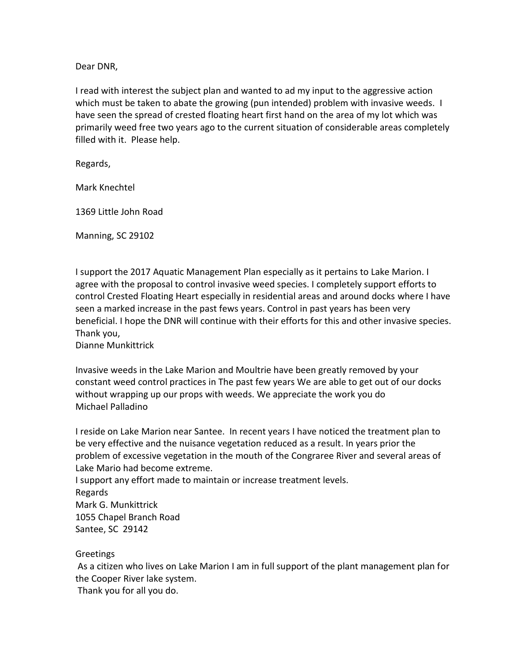Dear DNR,

I read with interest the subject plan and wanted to ad my input to the aggressive action which must be taken to abate the growing (pun intended) problem with invasive weeds. I have seen the spread of crested floating heart first hand on the area of my lot which was primarily weed free two years ago to the current situation of considerable areas completely filled with it. Please help.

Regards,

Mark Knechtel

1369 Little John Road

Manning, SC 29102

I support the 2017 Aquatic Management Plan especially as it pertains to Lake Marion. I agree with the proposal to control invasive weed species. I completely support efforts to control Crested Floating Heart especially in residential areas and around docks where I have seen a marked increase in the past fews years. Control in past years has been very beneficial. I hope the DNR will continue with their efforts for this and other invasive species. Thank you,

Dianne Munkittrick

Invasive weeds in the Lake Marion and Moultrie have been greatly removed by your constant weed control practices in The past few years We are able to get out of our docks without wrapping up our props with weeds. We appreciate the work you do Michael Palladino

I reside on Lake Marion near Santee. In recent years I have noticed the treatment plan to be very effective and the nuisance vegetation reduced as a result. In years prior the problem of excessive vegetation in the mouth of the Congraree River and several areas of Lake Mario had become extreme.

I support any effort made to maintain or increase treatment levels. Regards Mark G. Munkittrick 1055 Chapel Branch Road Santee, SC 29142

**Greetings** 

As a citizen who lives on Lake Marion I am in full support of the plant management plan for the Cooper River lake system.

Thank you for all you do.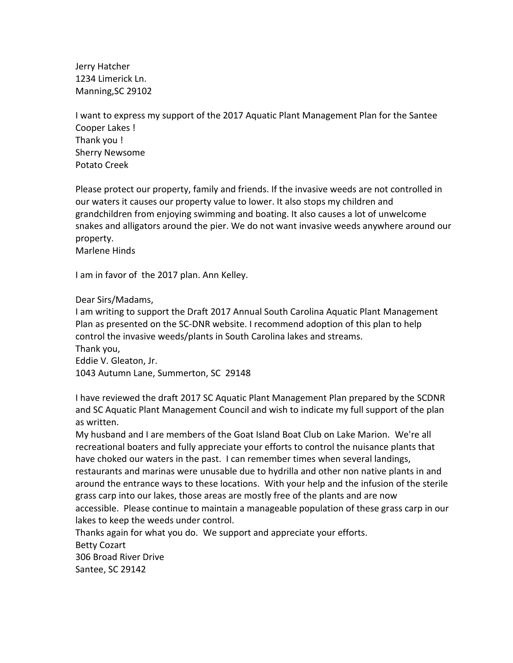Jerry Hatcher 1234 Limerick Ln. Manning,SC 29102

I want to express my support of the 2017 Aquatic Plant Management Plan for the Santee Cooper Lakes ! Thank you ! Sherry Newsome Potato Creek

Please protect our property, family and friends. If the invasive weeds are not controlled in our waters it causes our property value to lower. It also stops my children and grandchildren from enjoying swimming and boating. It also causes a lot of unwelcome snakes and alligators around the pier. We do not want invasive weeds anywhere around our property.

Marlene Hinds

I am in favor of the 2017 plan. Ann Kelley.

Dear Sirs/Madams,

I am writing to support the Draft 2017 Annual South Carolina Aquatic Plant Management Plan as presented on the SC-DNR website. I recommend adoption of this plan to help control the invasive weeds/plants in South Carolina lakes and streams. Thank you, Eddie V. Gleaton, Jr.

1043 Autumn Lane, Summerton, SC 29148

I have reviewed the draft 2017 SC Aquatic Plant Management Plan prepared by the SCDNR and SC Aquatic Plant Management Council and wish to indicate my full support of the plan as written.

My husband and I are members of the Goat Island Boat Club on Lake Marion. We're all recreational boaters and fully appreciate your efforts to control the nuisance plants that have choked our waters in the past. I can remember times when several landings, restaurants and marinas were unusable due to hydrilla and other non native plants in and around the entrance ways to these locations. With your help and the infusion of the sterile grass carp into our lakes, those areas are mostly free of the plants and are now accessible. Please continue to maintain a manageable population of these grass carp in our lakes to keep the weeds under control.

Thanks again for what you do. We support and appreciate your efforts.

Betty Cozart 306 Broad River Drive

Santee, SC 29142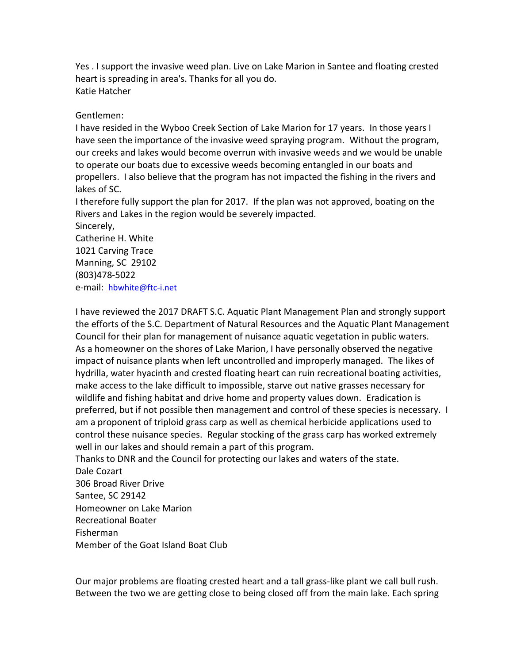Yes . I support the invasive weed plan. Live on Lake Marion in Santee and floating crested heart is spreading in area's. Thanks for all you do. Katie Hatcher

## Gentlemen:

I have resided in the Wyboo Creek Section of Lake Marion for 17 years. In those years I have seen the importance of the invasive weed spraying program. Without the program, our creeks and lakes would become overrun with invasive weeds and we would be unable to operate our boats due to excessive weeds becoming entangled in our boats and propellers. I also believe that the program has not impacted the fishing in the rivers and lakes of SC.

I therefore fully support the plan for 2017. If the plan was not approved, boating on the Rivers and Lakes in the region would be severely impacted.

Sincerely, Catherine H. White 1021 Carving Trace Manning, SC 29102 (803)478-5022 e-mail: [hbwhite@ftc-i.net](mailto:hbwhite@ftc-i.net)

I have reviewed the 2017 DRAFT S.C. Aquatic Plant Management Plan and strongly support the efforts of the S.C. Department of Natural Resources and the Aquatic Plant Management Council for their plan for management of nuisance aquatic vegetation in public waters. As a homeowner on the shores of Lake Marion, I have personally observed the negative impact of nuisance plants when left uncontrolled and improperly managed. The likes of hydrilla, water hyacinth and crested floating heart can ruin recreational boating activities, make access to the lake difficult to impossible, starve out native grasses necessary for wildlife and fishing habitat and drive home and property values down. Eradication is preferred, but if not possible then management and control of these species is necessary. I am a proponent of triploid grass carp as well as chemical herbicide applications used to control these nuisance species. Regular stocking of the grass carp has worked extremely well in our lakes and should remain a part of this program.

Thanks to DNR and the Council for protecting our lakes and waters of the state. Dale Cozart 306 Broad River Drive Santee, SC 29142 Homeowner on Lake Marion Recreational Boater Fisherman Member of the Goat Island Boat Club

Our major problems are floating crested heart and a tall grass-like plant we call bull rush. Between the two we are getting close to being closed off from the main lake. Each spring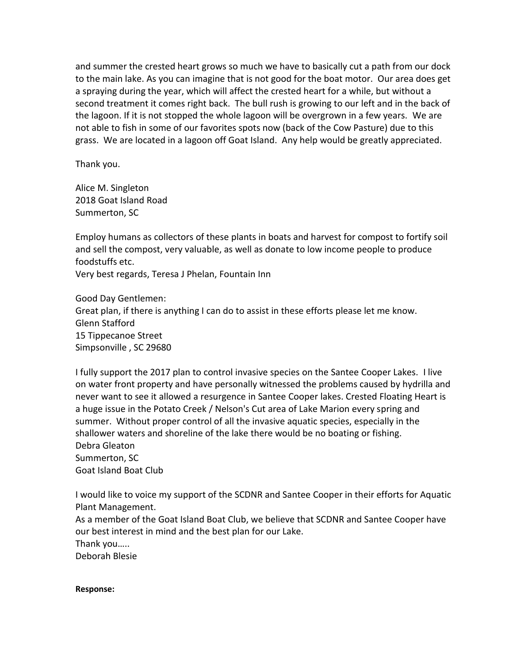and summer the crested heart grows so much we have to basically cut a path from our dock to the main lake. As you can imagine that is not good for the boat motor. Our area does get a spraying during the year, which will affect the crested heart for a while, but without a second treatment it comes right back. The bull rush is growing to our left and in the back of the lagoon. If it is not stopped the whole lagoon will be overgrown in a few years. We are not able to fish in some of our favorites spots now (back of the Cow Pasture) due to this grass. We are located in a lagoon off Goat Island. Any help would be greatly appreciated.

Thank you.

Alice M. Singleton 2018 Goat Island Road Summerton, SC

Employ humans as collectors of these plants in boats and harvest for compost to fortify soil and sell the compost, very valuable, as well as donate to low income people to produce foodstuffs etc.

Very best regards, Teresa J Phelan, Fountain Inn

Good Day Gentlemen: Great plan, if there is anything I can do to assist in these efforts please let me know. Glenn Stafford 15 Tippecanoe Street Simpsonville , SC 29680

I fully support the 2017 plan to control invasive species on the Santee Cooper Lakes. I live on water front property and have personally witnessed the problems caused by hydrilla and never want to see it allowed a resurgence in Santee Cooper lakes. Crested Floating Heart is a huge issue in the Potato Creek / Nelson's Cut area of Lake Marion every spring and summer. Without proper control of all the invasive aquatic species, especially in the shallower waters and shoreline of the lake there would be no boating or fishing. Debra Gleaton Summerton, SC Goat Island Boat Club

I would like to voice my support of the SCDNR and Santee Cooper in their efforts for Aquatic Plant Management.

As a member of the Goat Island Boat Club, we believe that SCDNR and Santee Cooper have our best interest in mind and the best plan for our Lake.

Thank you…..

Deborah Blesie

#### **Response:**